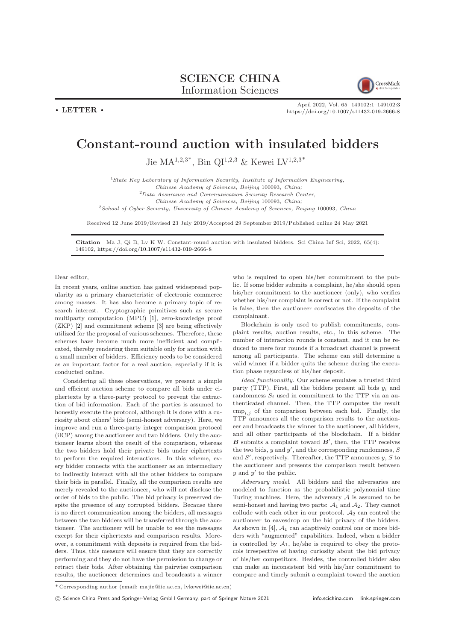## SCIENCE CHINA

Information Sciences

 $\cdot$  LETTER  $\cdot$ 



April 2022, Vol. 65 149102:1–149102[:3](#page-2-0) <https://doi.org/10.1007/s11432-019-2666-8>

## Constant-round auction with insulated bidders

Jie  $MA^{1,2,3^*}$ , Bin QI<sup>1,2,3</sup> & Kewei LV<sup>1,2,3\*</sup>

<sup>1</sup>State Key Laboratory of Information Security, Institute of Information Engineering,

Chinese Academy of Sciences, Beijing 100093, China;

<sup>2</sup>Data Assurance and Communication Security Research Center,

Chinese Academy of Sciences, Beijing 100093, China;

<sup>3</sup>School of Cyber Security, University of Chinese Academy of Sciences, Beijing 100093, China

Received 12 June 2019/Revised 23 July 2019/Accepted 29 September 2019/Published online 24 May 2021

Citation Ma J, Qi B, Lv K W. Constant-round auction with insulated bidders. Sci China Inf Sci, 2022, 65(4): 149102, <https://doi.org/10.1007/s11432-019-2666-8>

Dear editor,

In recent years, online auction has gained widespread popularity as a primary characteristic of electronic commerce among masses. It has also become a primary topic of research interest. Cryptographic primitives such as secure multiparty computation (MPC) [\[1\]](#page-2-1), zero-knowledge proof (ZKP) [\[2\]](#page-2-2) and commitment scheme [\[3\]](#page-2-3) are being effectively utilized for the proposal of various schemes. Therefore, these schemes have become much more inefficient and complicated, thereby rendering them suitable only for auction with a small number of bidders. Efficiency needs to be considered as an important factor for a real auction, especially if it is conducted online.

Considering all these observations, we present a simple and efficient auction scheme to compare all bids under ciphertexts by a three-party protocol to prevent the extraction of bid information. Each of the parties is assumed to honestly execute the protocol, although it is done with a curiosity about others' bids (semi-honest adversary). Here, we improve and run a three-party integer comparison protocol (iICP) among the auctioneer and two bidders. Only the auctioneer learns about the result of the comparison, whereas the two bidders hold their private bids under ciphertexts to perform the required interactions. In this scheme, every bidder connects with the auctioneer as an intermediary to indirectly interact with all the other bidders to compare their bids in parallel. Finally, all the comparison results are merely revealed to the auctioneer, who will not disclose the order of bids to the public. The bid privacy is preserved despite the presence of any corrupted bidders. Because there is no direct communication among the bidders, all messages between the two bidders will be transferred through the auctioneer. The auctioneer will be unable to see the messages except for their ciphertexts and comparison results. Moreover, a commitment with deposits is required from the bidders. Thus, this measure will ensure that they are correctly performing and they do not have the permission to change or retract their bids. After obtaining the pairwise comparison results, the auctioneer determines and broadcasts a winner

who is required to open his/her commitment to the public. If some bidder submits a complaint, he/she should open his/her commitment to the auctioneer (only), who verifies whether his/her complaint is correct or not. If the complaint is false, then the auctioneer confiscates the deposits of the complainant.

Blockchain is only used to publish commitments, complaint results, auction results, etc., in this scheme. The number of interaction rounds is constant, and it can be reduced to mere four rounds if a broadcast channel is present among all participants. The scheme can still determine a valid winner if a bidder quits the scheme during the execution phase regardless of his/her deposit.

Ideal functionality. Our scheme emulates a trusted third party (TTP). First, all the bidders present all bids  $y_i$  and randomness  $S_i$  used in commitment to the TTP via an authenticated channel. Then, the TTP computes the result  $cmp_{i,j}$  of the comparison between each bid. Finally, the TTP announces all the comparison results to the auctioneer and broadcasts the winner to the auctioneer, all bidders, and all other participants of the blockchain. If a bidder  $\boldsymbol{B}$  submits a complaint toward  $\boldsymbol{B}'$ , then, the TTP receives the two bids,  $y$  and  $y'$ , and the corresponding randomness,  $S$ and  $S'$ , respectively. Thereafter, the TTP announces  $y, S$  to the auctioneer and presents the comparison result between  $y$  and  $y'$  to the public.

Adversary model. All bidders and the adversaries are modeled to function as the probabilistic polynomial time Turing machines. Here, the adversary  $A$  is assumed to be semi-honest and having two parts:  $A_1$  and  $A_2$ . They cannot collude with each other in our protocol.  $A_2$  can control the auctioneer to eavesdrop on the bid privacy of the bidders. As shown in  $[4]$ ,  $A_1$  can adaptively control one or more bidders with "augmented" capabilities. Indeed, when a bidder is controlled by  $A_1$ , he/she is required to obey the protocols irrespective of having curiosity about the bid privacy of his/her competitors. Besides, the controlled bidder also can make an inconsistent bid with his/her commitment to compare and timely submit a complaint toward the auction

 $^\ast$  Corresponding author (email: majie@iie.ac.cn, lvkewei@iie.ac.cn)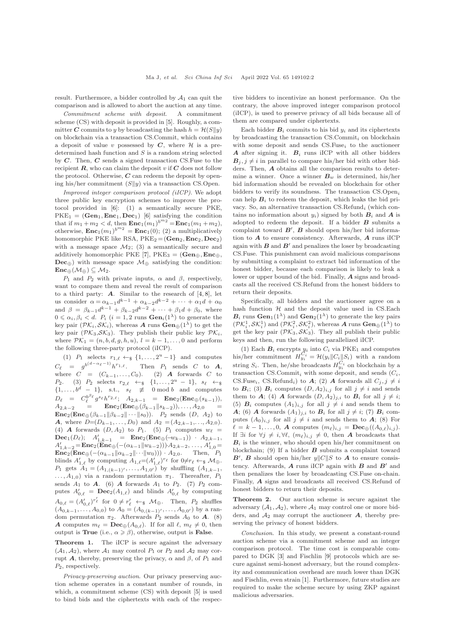result. Furthermore, a bidder controlled by  $A_1$  can quit the comparison and is allowed to abort the auction at any time.

Commitment scheme with deposit. A commitment scheme (CS) with deposit is provided in [\[5\]](#page-2-5). Roughly, a committer C commits to y by broadcasting the hash  $h = \mathcal{H}(S||y)$ on blockchain via a transaction CS.Commit, which contains a deposit of value v possessed by  $C$ , where  $H$  is a predetermined hash function and  $S$  is a random string selected by  $C$ . Then,  $C$  sends a signed transaction CS. Fuse to the recipient  $\bm{R}$ , who can claim the deposit v if  $\bm{C}$  does not follow the protocol. Otherwise,  $C$  can redeem the deposit by opening his/her commitment  $(S||y)$  via a transaction CS.Open.

Improved integer comparison protocol (iICP). We adopt three public key encryption schemes to improve the protocol provided in [\[6\]](#page-2-6): (1) a semantically secure PKE,  $PKE_1 = (Gen_1, Enc_1, Dec_1)$  [\[6\]](#page-2-6) satisfying the condition that if  $m_1 + m_2 < d$ , then  $\text{Enc}_1(m_1)^{b^{m_2}} = \text{Enc}_1(m_1 + m_2)$ , otherwise,  $\text{Enc}_1(m_1)^{b^{m_2}} = \text{Enc}_1(0)$ ; (2) a multiplicatively homomorphic PKE like RSA,  $PKE_2 = (Gen_2, Enc_2, Dec_2)$ with a message space  $\mathcal{M}_2$ ; (3) a semantically secure and additively homomorphic PKE [\[7\]](#page-2-7), PKE<sub>3</sub> = ( $Gen_{\oplus}$ ,  $Enc_{\oplus}$ , Dec⊕) with message space  $\mathcal{M}_{\oplus}$  satisfying the condition:  $\text{Enc}_{\oplus}(\mathcal{M}_{\oplus}) \subseteq \mathcal{M}_2.$ 

 $P_1$  and  $P_2$  with private inputs,  $\alpha$  and  $\beta$ , respectively, want to compare them and reveal the result of comparison to a third party:  $\bf{A}$ . Similar to the research of [\[4,](#page-2-4)[8\]](#page-2-8), let us consider  $\alpha = \alpha_{k-1}d^{k-1} + \alpha_{k-2}d^{k-2} + \cdots + \alpha_1d + \alpha_0$ and  $\beta = \beta_{k-1}d^{k-1} + \beta_{k-2}d^{k-2} + \cdots + \beta_1d + \beta_0$ , where  $0 \leq \alpha_i, \beta_i < d.$   $P_i$   $(i = 1, 2 \text{ runs } \text{Gen}_i(1^{\lambda})$  to generate the key pair  $(\mathcal{PK}_i, \mathcal{SK}_i)$ , whereas **A** runs  $\mathbf{Gen}_{\oplus}(1^{\lambda})$  to get the key pair  $(\mathcal{PK}_3, \mathcal{SK}_3)$ . They publish their public key  $\mathcal{PK}_i$ , where  $\mathcal{PK}_1 = (n, b, d, g, h, u), l = k - 1, \dots, 0$  and perform the following three-party protocol (iICP).

(1)  $P_1$  selects  $r_{1,\ell} \leftarrow_{\$} \{1, \ldots, 2^u - 1\}$  and computes  $C_{\ell}$  =  $g^{b^{(d-\alpha_{\ell}-1)}}h^{r_{1,\ell}}$ . Then  $P_1$  sends C to  $A$ , where  $C = (C_{k-1}, \ldots, C_0)$ . (2) **A** forwards C to  $P_2$ . (3)  $P_2$  selects  $r_{2,\ell} \leftarrow_{\$} \{1, \ldots, 2^u - 1\}, s_{\ell} \leftarrow_{\$}$  $\{1, \ldots, b^d - 1\}, \text{ s.t., } s_\ell \not\equiv 0 \text{ mod } b \text{ and computes}$  $D_{\ell} = C_{\ell}^{b^{\beta_{\ell}}} g^{s_{\ell}} h^{r_{2,\ell}}; A_{2,k-1} = \textbf{Enc}_2(\textbf{Enc}_{\bigoplus}(s_{k-1})),$  $A_{2,k-2} = \text{Enc}_2(\text{Enc}_{\oplus}(\beta_{k-1}||s_{k-2})), \dots, A_{2,0}$  = **Enc**<sub>2</sub>(**Enc**⊕( $\beta_{k-1}$ || $\beta_{k-2}$ || · · · || $s_0$ )).  $P_2$  sends (*D*,  $A_2$ ) to A, where  $D=(D_{k-1},\ldots,D_0)$  and  $A_2=(A_{2,k-1},\ldots,A_{2,0})$ . (4) **A** forwards  $(D, A_2)$  to  $P_1$ . (5)  $P_1$  computes  $w_\ell =$ Dec<sub>1</sub>(D<sub>ℓ</sub>);  $A'_{1,k-1}$  = Enc<sub>2</sub>(Enc⊕(-w<sub>k-1</sub>)) ·  $A_{2,k-1}$ ,<br>  $A'_{1,k-2}$ =Enc<sub>2</sub>(Enc⊕(-( $\alpha_{k-1}||w_{k-2}$ )))· $A_{2,k-2}$ , ...,  $A'_{1,0}$ =  $\mathbf{Enc}_2(\mathbf{Enc}_{\oplus}(-(\alpha_{k-1}||\alpha_{k-2}||\cdots||w_0))) \cdot A_{2,0}.$  Then,  $P_1$ blinds  $A'_{1,\ell}$  by computing  $A_{1,\ell} = (A'_{1,\ell})^{r_{\ell}}$  for  $0 \neq r_{\ell} \leftarrow_{\mathcal{F}} M_{\oplus}$ .  $P_1$  gets  $A_1 = (A_{1,(k-1)}, \ldots, A_{1,0'})$  by shuffling  $(A_{1,k-1},$  $\ldots$ ,  $A_{1,0}$ ) via a random permutation  $\pi_1$ . Thereafter,  $P_1$ sends  $A_1$  to  $A$ . (6)  $A$  forwards  $A_1$  to  $P_2$ . (7)  $P_2$  computes  $A'_{0,\ell}$  =  $\mathbf{Dec}_2(A_{1,\ell})$  and blinds  $A'_{0,\ell}$  by computing  $A_{0,\ell} = (A'_{0,\ell})^{r'_\ell}$  for  $0 \neq r'_\ell \leftrightarrow \mathcal{M}_{\oplus}$ . Then,  $P_2$  shuffles  $(A_{0,k-1},\ldots,A_{0,0})$  to  $A_0=(A_{0,(k-1)'}',\ldots,A_{0,0'})$  by a random permutation  $\pi_2$ . Afterwards  $P_2$  sends  $A_0$  to **A**. (8) A computes  $m_{\ell} = \mathbf{Dec}_{\oplus}(A_{0,\ell})$ . If for all  $\ell, m_{\ell} \neq 0$ , then output is **True** (i.e.,  $\alpha \geq \beta$ ), otherwise, output is **False**.

Theorem 1. The iICP is secure against the adversary  $(A_1, A_2)$ , where  $A_1$  may control  $P_1$  or  $P_2$  and  $A_2$  may corrupt A, thereby, preserving the privacy,  $\alpha$  and  $\beta$ , of  $P_1$  and  $P_2$ , respectively.

Privacy-preserving auction. Our privacy preserving auction scheme operates in a constant number of rounds, in which, a commitment scheme (CS) with deposit [\[5\]](#page-2-5) is used to bind bids and the ciphertexts with each of the respective bidders to incentivize an honest performance. On the contrary, the above improved integer comparison protocol (iICP), is used to preserve privacy of all bids because all of them are compared under ciphertexts.

Each bidder  $B_i$  commits to his bid  $y_i$  and its ciphertexts by broadcasting the transaction  $\text{CS.} \text{Commit}_i$  on blockchain with some deposit and sends  $CS.Fuse_i$  to the auctioneer A after signing it.  $B_i$  runs iICP with all other bidders  $B_i, j \neq i$  in parallel to compare his/her bid with other bidders. Then, A obtains all the comparison results to determine a winner. Once a winner  $B_w$  is determined, his/her bid information should be revealed on blockchain for other bidders to verify its soundness. The transaction CS.Open, can help  $B_i$  to redeem the deposit, which leaks the bid privacy. So, an alternative transaction  $CS$ . Refund<sub>i</sub> (which contains no information about  $y_i$ ) signed by both  $B_i$  and  $A$  is adopted to redeem the deposit. If a bidder  $\boldsymbol{B}$  submits a complaint toward  $B'$ ,  $B$  should open his/her bid information to  $A$  to ensure consistency. Afterwards,  $A$  runs iICP again with  $B$  and  $B'$  and penalizes the loser by broadcasting CS.Fuse. This punishment can avoid malicious comparisons by submitting a complaint to extract bid information of the honest bidder, because each comparison is likely to leak a lower or upper bound of the bid. Finally, A signs and broadcasts all the received CS.Refund from the honest bidders to return their deposits.

Specifically, all bidders and the auctioneer agree on a hash function  $H$  and the deposit value used in CS.Each  $\mathbf{B}_i$  runs  $\mathbf{Gen}_1(1^{\lambda})$  and  $\mathbf{Gen}_2(1^{\lambda})$  to generate the key pairs  $(\mathcal{PK}_i^1, \mathcal{SK}_i^1)$  and  $(\mathcal{PK}_i^2, \mathcal{SK}_i^2)$ , whereas **A** runs **Gen**<sub> $\oplus$ </sub>(1<sup> $\lambda$ </sup>) to get the key pair  $(\mathcal{PK}_3, \mathcal{SK}_3)$ . They all publish their public keys and then, run the following parallelized iICP.

(1) Each  $B_i$  encrypts  $y_i$  into  $C_i$  via PKE<sub>1</sub> and computes his/her commitment  $H_{y_i}^{C_i} = \mathcal{H}(y_i || C_i || S_i)$  with a random string  $S_i$ . Then, he/she broadcasts  $H_{y_i}^{C_i}$  on blockchain by a transaction CS.Commit<sub>i</sub> with some deposit, and sends  $(C_i,$ CS.Fuse<sub>i</sub>, CS.Refund<sub>i</sub>) to A; (2) A forwards all  $C_j$ ,  $j \neq i$ to  $B_i$ ; (3)  $B_i$  computes  $(D, A_2)_{i,j}$  for all  $j \neq i$  and sends them to A; (4) A forwards  $(D, A_2)_{j,i}$  to  $B_i$  for all  $j \neq i$ ; (5)  $B_i$  computes  $(A_1)_{i,j}$  for all  $j \neq i$  and sends them to A; (6) A forwards  $(A_1)_{j,i}$  to  $B_i$  for all  $j \neq i$ ; (7)  $B_i$  computes  $(A_0)_{i,j}$  for all  $j \neq i$  and sends them to  $A$ ; (8) For  $\ell = k - 1, \ldots, 0, \mathbf{A}$  computes  $(m_{\ell})_{i,j} = \mathbf{Dec}_{\oplus}((A_{0,\ell})_{i,j}).$ If  $\exists i$  for  $\forall j \neq i, \forall \ell, (m_{\ell})_{i,j} \neq 0$ , then **A** broadcasts that  $B_i$  is the winner, who should open his/her commitment on blockchain; (9) If a bidder  $\boldsymbol{B}$  submits a complaint toward  $\mathbf{B}'$ ,  $\mathbf{B}$  should open his/her  $y||C||S$  to  $\mathbf{A}$  to ensure consistency. Afterwards,  $\boldsymbol{A}$  runs iICP again with  $\boldsymbol{B}$  and  $\boldsymbol{B}'$  and then penalizes the loser by broadcasting CS.Fuse on-chain. Finally, A signs and broadcasts all received CS.Refund of honest bidders to return their deposits.

Theorem 2. Our auction scheme is secure against the adversary  $(A_1, A_2)$ , where  $A_1$  may control one or more bidders, and  $A_2$  may corrupt the auctioneer  $A$ , thereby preserving the privacy of honest bidders.

Conclusion. In this study, we present a constant-round auction scheme via a commitment scheme and an integer comparison protocol. The time cost is comparable compared to DGK [\[3\]](#page-2-3) and Fischlin [\[9\]](#page-2-9) protocols which are secure against semi-honest adversary, but the round complexity and communication overhead are much lower than DGK and Fischlin, even strain [\[1\]](#page-2-1). Furthermore, future studies are required to make the scheme secure by using ZKP against malicious adversaries.